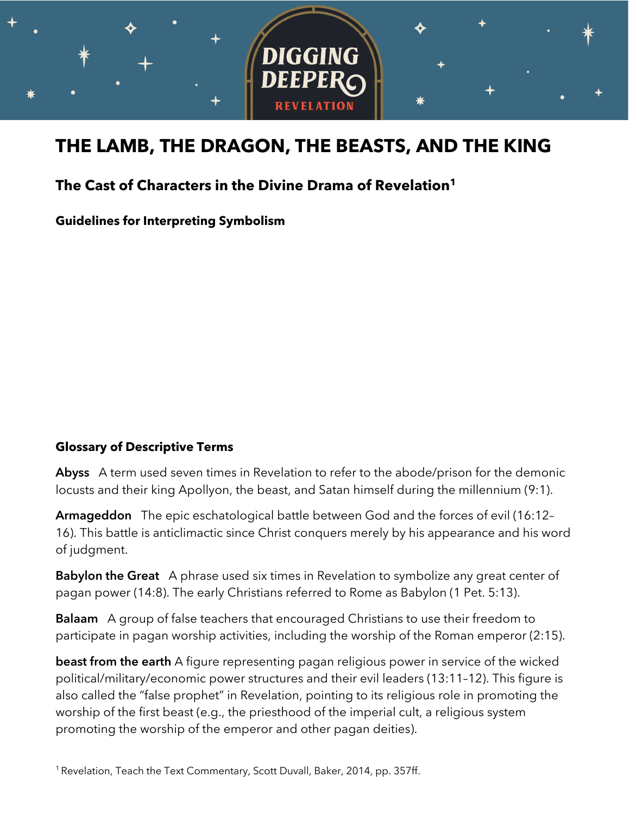

# **THE LAMB, THE DRAGON, THE BEASTS, AND THE KING**

# **The Cast of Characters in the Divine Drama of Revelation<sup>1</sup>**

**Guidelines for Interpreting Symbolism**

#### **Glossary of Descriptive Terms**

**Abyss** A term used seven times in Revelation to refer to the abode/prison for the demonic locusts and their king Apollyon, the beast, and Satan himself during the millennium (9:1).

**Armageddon** The epic eschatological battle between God and the forces of evil (16:12– 16). This battle is anticlimactic since Christ conquers merely by his appearance and his word of judgment.

**Babylon the Great** A phrase used six times in Revelation to symbolize any great center of pagan power (14:8). The early Christians referred to Rome as Babylon (1 Pet. 5:13).

**Balaam** A group of false teachers that encouraged Christians to use their freedom to participate in pagan worship activities, including the worship of the Roman emperor (2:15).

**beast from the earth** A figure representing pagan religious power in service of the wicked political/military/economic power structures and their evil leaders (13:11–12). This figure is also called the "false prophet" in Revelation, pointing to its religious role in promoting the worship of the first beast (e.g., the priesthood of the imperial cult, a religious system promoting the worship of the emperor and other pagan deities).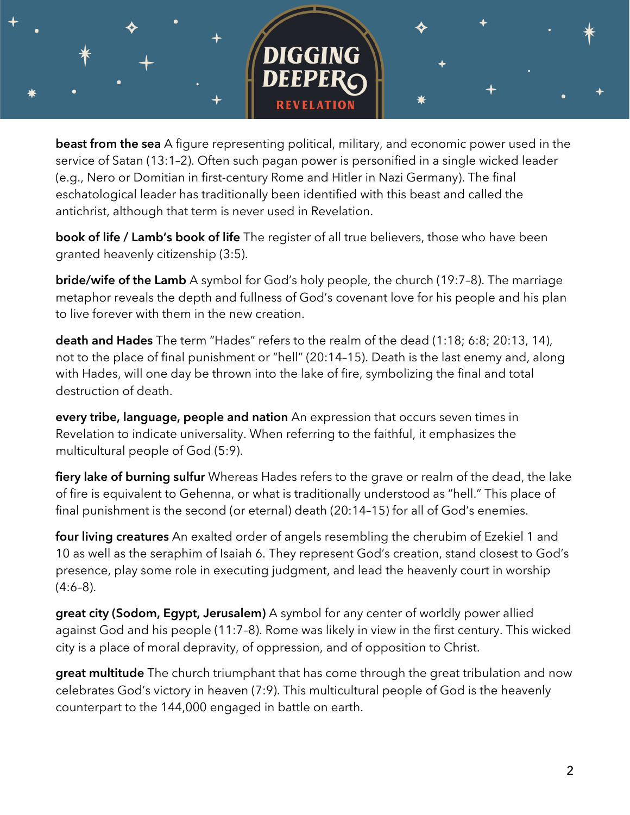

**beast from the sea** A figure representing political, military, and economic power used in the service of Satan (13:1–2). Often such pagan power is personified in a single wicked leader (e.g., Nero or Domitian in first-century Rome and Hitler in Nazi Germany). The final eschatological leader has traditionally been identified with this beast and called the antichrist, although that term is never used in Revelation.

**book of life / Lamb's book of life** The register of all true believers, those who have been granted heavenly citizenship (3:5).

**bride/wife of the Lamb** A symbol for God's holy people, the church (19:7-8). The marriage metaphor reveals the depth and fullness of God's covenant love for his people and his plan to live forever with them in the new creation.

**death and Hades** The term "Hades" refers to the realm of the dead (1:18; 6:8; 20:13, 14), not to the place of final punishment or "hell" (20:14–15). Death is the last enemy and, along with Hades, will one day be thrown into the lake of fire, symbolizing the final and total destruction of death.

**every tribe, language, people and nation** An expression that occurs seven times in Revelation to indicate universality. When referring to the faithful, it emphasizes the multicultural people of God (5:9).

**fiery lake of burning sulfur** Whereas Hades refers to the grave or realm of the dead, the lake of fire is equivalent to Gehenna, or what is traditionally understood as "hell." This place of final punishment is the second (or eternal) death (20:14–15) for all of God's enemies.

**four living creatures** An exalted order of angels resembling the cherubim of Ezekiel 1 and 10 as well as the seraphim of Isaiah 6. They represent God's creation, stand closest to God's presence, play some role in executing judgment, and lead the heavenly court in worship (4:6–8).

**great city (Sodom, Egypt, Jerusalem)** A symbol for any center of worldly power allied against God and his people (11:7–8). Rome was likely in view in the first century. This wicked city is a place of moral depravity, of oppression, and of opposition to Christ.

**great multitude** The church triumphant that has come through the great tribulation and now celebrates God's victory in heaven (7:9). This multicultural people of God is the heavenly counterpart to the 144,000 engaged in battle on earth.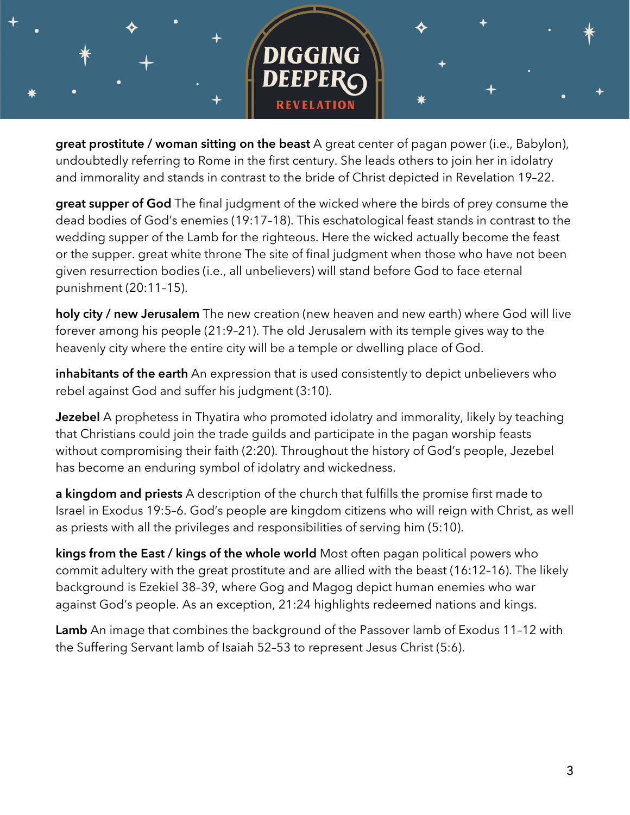

**great prostitute / woman sitting on the beast** A great center of pagan power (i.e., Babylon), undoubtedly referring to Rome in the first century. She leads others to join her in idolatry and immorality and stands in contrast to the bride of Christ depicted in Revelation 19–22.

**great supper of God** The final judgment of the wicked where the birds of prey consume the dead bodies of God's enemies (19:17–18). This eschatological feast stands in contrast to the wedding supper of the Lamb for the righteous. Here the wicked actually become the feast or the supper. great white throne The site of final judgment when those who have not been given resurrection bodies (i.e., all unbelievers) will stand before God to face eternal punishment (20:11–15).

**holy city / new Jerusalem** The new creation (new heaven and new earth) where God will live forever among his people (21:9–21). The old Jerusalem with its temple gives way to the heavenly city where the entire city will be a temple or dwelling place of God.

**inhabitants of the earth** An expression that is used consistently to depict unbelievers who rebel against God and suffer his judgment (3:10).

**Jezebel** A prophetess in Thyatira who promoted idolatry and immorality, likely by teaching that Christians could join the trade guilds and participate in the pagan worship feasts without compromising their faith (2:20). Throughout the history of God's people, Jezebel has become an enduring symbol of idolatry and wickedness.

**a kingdom and priests** A description of the church that fulfills the promise first made to Israel in Exodus 19:5–6. God's people are kingdom citizens who will reign with Christ, as well as priests with all the privileges and responsibilities of serving him (5:10).

**kings from the East / kings of the whole world** Most often pagan political powers who commit adultery with the great prostitute and are allied with the beast (16:12–16). The likely background is Ezekiel 38–39, where Gog and Magog depict human enemies who war against God's people. As an exception, 21:24 highlights redeemed nations and kings.

**Lamb** An image that combines the background of the Passover lamb of Exodus 11–12 with the Suffering Servant lamb of Isaiah 52–53 to represent Jesus Christ (5:6).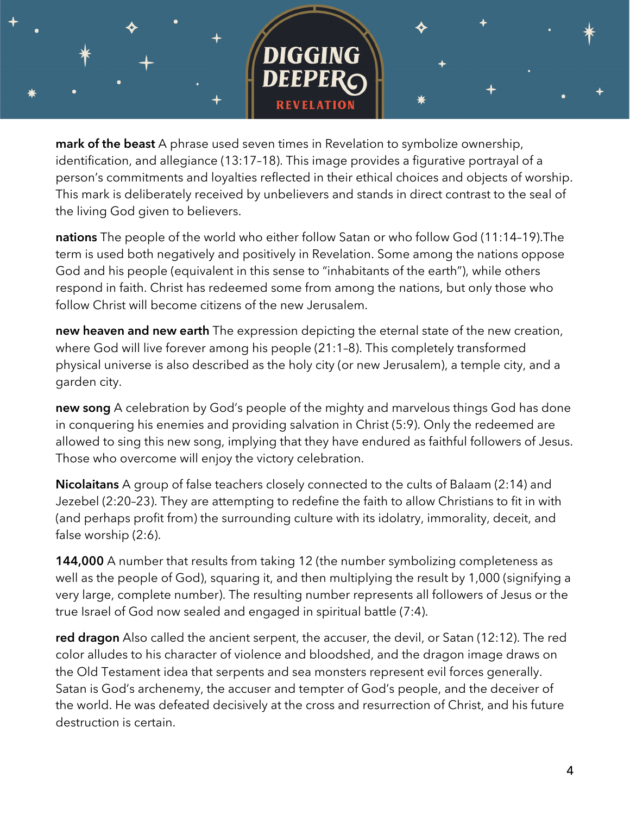

**mark of the beast** A phrase used seven times in Revelation to symbolize ownership, identification, and allegiance (13:17–18). This image provides a figurative portrayal of a person's commitments and loyalties reflected in their ethical choices and objects of worship. This mark is deliberately received by unbelievers and stands in direct contrast to the seal of the living God given to believers.

**nations** The people of the world who either follow Satan or who follow God (11:14–19).The term is used both negatively and positively in Revelation. Some among the nations oppose God and his people (equivalent in this sense to "inhabitants of the earth"), while others respond in faith. Christ has redeemed some from among the nations, but only those who follow Christ will become citizens of the new Jerusalem.

**new heaven and new earth** The expression depicting the eternal state of the new creation, where God will live forever among his people (21:1–8). This completely transformed physical universe is also described as the holy city (or new Jerusalem), a temple city, and a garden city.

**new song** A celebration by God's people of the mighty and marvelous things God has done in conquering his enemies and providing salvation in Christ (5:9). Only the redeemed are allowed to sing this new song, implying that they have endured as faithful followers of Jesus. Those who overcome will enjoy the victory celebration.

**Nicolaitans** A group of false teachers closely connected to the cults of Balaam (2:14) and Jezebel (2:20–23). They are attempting to redefine the faith to allow Christians to fit in with (and perhaps profit from) the surrounding culture with its idolatry, immorality, deceit, and false worship (2:6).

**144,000** A number that results from taking 12 (the number symbolizing completeness as well as the people of God), squaring it, and then multiplying the result by 1,000 (signifying a very large, complete number). The resulting number represents all followers of Jesus or the true Israel of God now sealed and engaged in spiritual battle (7:4).

**red dragon** Also called the ancient serpent, the accuser, the devil, or Satan (12:12). The red color alludes to his character of violence and bloodshed, and the dragon image draws on the Old Testament idea that serpents and sea monsters represent evil forces generally. Satan is God's archenemy, the accuser and tempter of God's people, and the deceiver of the world. He was defeated decisively at the cross and resurrection of Christ, and his future destruction is certain.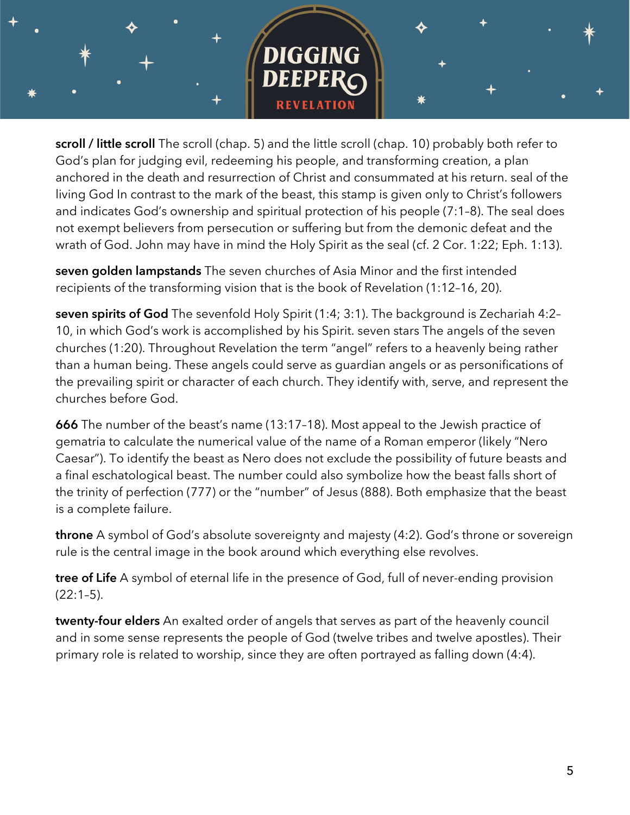



**scroll / little scroll** The scroll (chap. 5) and the little scroll (chap. 10) probably both refer to God's plan for judging evil, redeeming his people, and transforming creation, a plan anchored in the death and resurrection of Christ and consummated at his return. seal of the living God In contrast to the mark of the beast, this stamp is given only to Christ's followers and indicates God's ownership and spiritual protection of his people (7:1–8). The seal does not exempt believers from persecution or suffering but from the demonic defeat and the wrath of God. John may have in mind the Holy Spirit as the seal (cf. 2 Cor. 1:22; Eph. 1:13).

**seven golden lampstands** The seven churches of Asia Minor and the first intended recipients of the transforming vision that is the book of Revelation (1:12–16, 20).

**seven spirits of God** The sevenfold Holy Spirit (1:4; 3:1). The background is Zechariah 4:2– 10, in which God's work is accomplished by his Spirit. seven stars The angels of the seven churches (1:20). Throughout Revelation the term "angel" refers to a heavenly being rather than a human being. These angels could serve as guardian angels or as personifications of the prevailing spirit or character of each church. They identify with, serve, and represent the churches before God.

**666** The number of the beast's name (13:17–18). Most appeal to the Jewish practice of gematria to calculate the numerical value of the name of a Roman emperor (likely "Nero Caesar"). To identify the beast as Nero does not exclude the possibility of future beasts and a final eschatological beast. The number could also symbolize how the beast falls short of the trinity of perfection (777) or the "number" of Jesus (888). Both emphasize that the beast is a complete failure.

**throne** A symbol of God's absolute sovereignty and majesty (4:2). God's throne or sovereign rule is the central image in the book around which everything else revolves.

**tree of Life** A symbol of eternal life in the presence of God, full of never-ending provision (22:1–5).

**twenty-four elders** An exalted order of angels that serves as part of the heavenly council and in some sense represents the people of God (twelve tribes and twelve apostles). Their primary role is related to worship, since they are often portrayed as falling down (4:4).